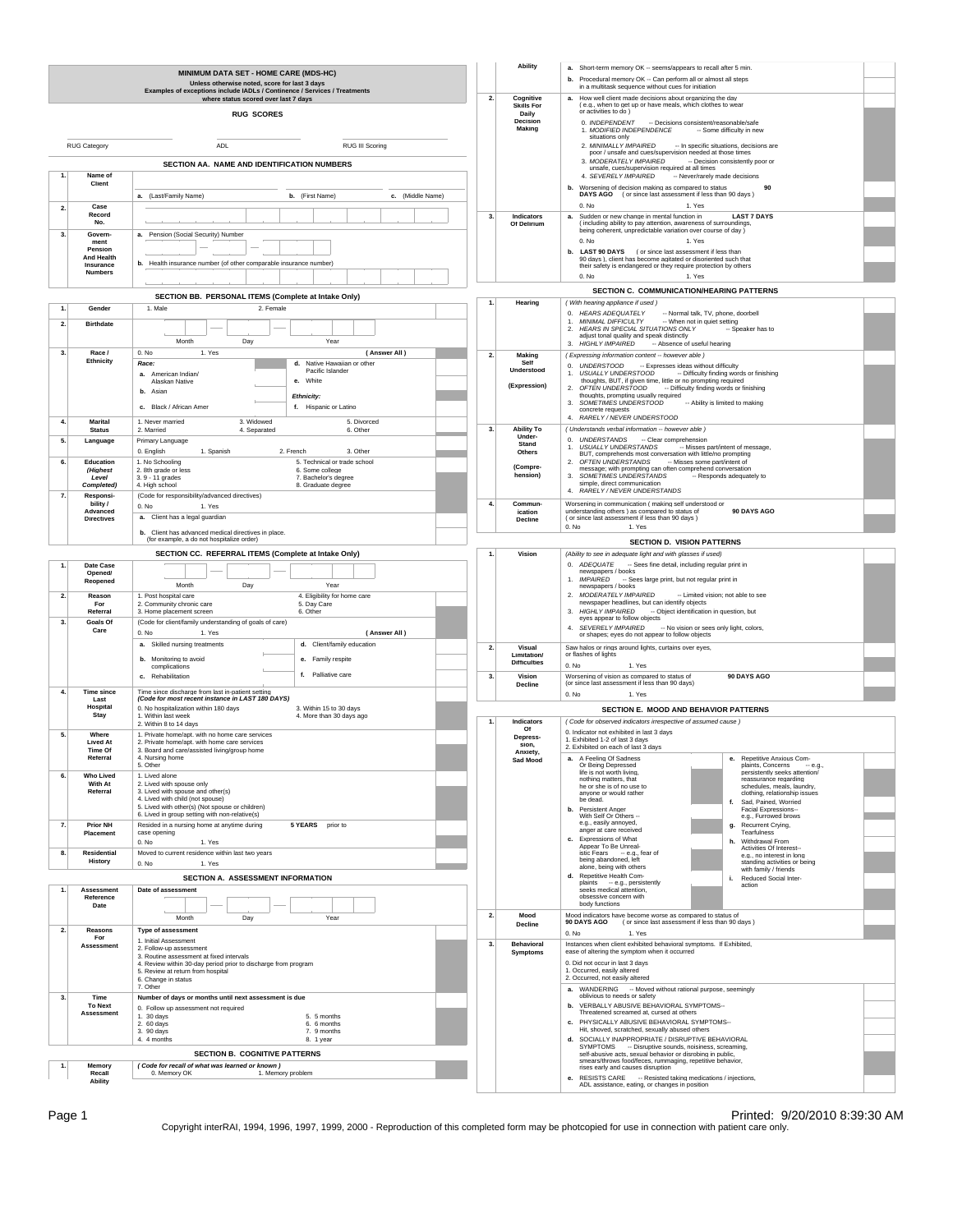|                                               |                                                                                                                        | MINIMUM DATA SET - HOME CARE (MDS-HC)<br>Unless otherwise noted, score for last 3 days<br>Examples of exceptions include IADLs / Continence / Services / Treatments                                                                    |                                                                                                                                                                                                                                              | <b>Ability</b>                                      | a. Short-term memory OK -- seems/appears to recall after 5 min<br>b. Procedural memory OK -- Can perform all or almost all steps<br>in a multitask sequence without cues for initiation                                                                                                                                                                                 |  |  |  |
|-----------------------------------------------|------------------------------------------------------------------------------------------------------------------------|----------------------------------------------------------------------------------------------------------------------------------------------------------------------------------------------------------------------------------------|----------------------------------------------------------------------------------------------------------------------------------------------------------------------------------------------------------------------------------------------|-----------------------------------------------------|-------------------------------------------------------------------------------------------------------------------------------------------------------------------------------------------------------------------------------------------------------------------------------------------------------------------------------------------------------------------------|--|--|--|
|                                               |                                                                                                                        | where status scored over last 7 days<br><b>RUG SCORES</b>                                                                                                                                                                              | 2.                                                                                                                                                                                                                                           | Cognitive<br><b>Skills For</b><br>Daily<br>Decision | How well client made decisions about organizing the day<br>а.<br>(e.g., when to get up or have meals, which clothes to wear<br>or activities to do )<br>0. INDEPENDENT - Decisions consistent/reasonable/safe                                                                                                                                                           |  |  |  |
| RUG Category<br><b>ADL</b><br>RUG III Scoring |                                                                                                                        |                                                                                                                                                                                                                                        |                                                                                                                                                                                                                                              | Making                                              | 1. MODIFIED INDEPENDENCE<br>-- Some difficulty in new<br>situations only<br>2. MINIMALLY IMPAIRED<br>-- In specific situations, decisions are<br>poor / unsafe and cues/supervision needed at those times                                                                                                                                                               |  |  |  |
| 1                                             | SECTION AA. NAME AND IDENTIFICATION NUMBERS<br>Name of<br>Client                                                       |                                                                                                                                                                                                                                        |                                                                                                                                                                                                                                              |                                                     | 3. MODERATELY IMPAIRED<br>-- Decision consistently poor or<br>unsafe, cues/supervision required at all times<br>4. SEVERELY IMPAIRED<br>-- Never/rarely made decisions<br>b. Worsening of decision making as compared to status<br>90                                                                                                                                   |  |  |  |
| 2.                                            | a. (Last/Family Name)<br>b. (First Name)<br>c. (Middle Name)<br>Case                                                   |                                                                                                                                                                                                                                        |                                                                                                                                                                                                                                              |                                                     | DAYS AGO (or since last assessment if less than 90 days)<br>0. No<br>1. Yes                                                                                                                                                                                                                                                                                             |  |  |  |
| 3 <sub>1</sub>                                | Record<br>No.<br>Govern-                                                                                               | a. Pension (Social Security) Number                                                                                                                                                                                                    | 3.                                                                                                                                                                                                                                           | Indicators<br>Of Delirium                           | <b>LAST 7 DAYS</b><br>Sudden or new change in mental function in<br>а.<br>(including ability to pay attention, awareness of surroundings,<br>being coherent, unpredictable variation over course of day )<br>$0.$ No<br>1. Yes                                                                                                                                          |  |  |  |
|                                               | ment<br>Pension<br><b>And Health</b><br>b. Health insurance number (of other comparable insurance number)<br>Insurance |                                                                                                                                                                                                                                        |                                                                                                                                                                                                                                              |                                                     | b. LAST 90 DAYS (or since last assessment if less than<br>90 days), client has become agitated or disoriented such that<br>their safety is endangered or they require protection by others                                                                                                                                                                              |  |  |  |
| <b>Numbers</b>                                |                                                                                                                        |                                                                                                                                                                                                                                        |                                                                                                                                                                                                                                              |                                                     | 0. No<br>1. Yes<br>SECTION C. COMMUNICATION/HEARING PATTERNS                                                                                                                                                                                                                                                                                                            |  |  |  |
|                                               | Gender                                                                                                                 | SECTION BB. PERSONAL ITEMS (Complete at Intake Only)<br>1. Male<br>2. Female                                                                                                                                                           |                                                                                                                                                                                                                                              | Hearing                                             | (With hearing appliance if used)<br>0. HEARS ADEQUATELY<br>-- Normal talk, TV, phone, doorbell                                                                                                                                                                                                                                                                          |  |  |  |
| $\overline{2}$                                | <b>Birthdate</b><br>Year<br>Month<br>Day                                                                               |                                                                                                                                                                                                                                        |                                                                                                                                                                                                                                              |                                                     | MINIMAL DIFFICULTY<br>-- When not in quiet setting<br>1.<br>2. HEARS IN SPECIAL SITUATIONS ONLY<br>-- Speaker has to<br>adjust tonal quality and speak distinctly<br><b>HIGHLY IMPAIRED</b><br>-- Absence of useful hearing<br>3.                                                                                                                                       |  |  |  |
| 3.                                            | Race /<br>Ethnicity                                                                                                    | 1. Yes<br>0. No<br>(Answer All)<br>Native Hawaiian or other<br>Race:<br>d.                                                                                                                                                             | 2.                                                                                                                                                                                                                                           | Making<br>Self                                      | (Expressing information content -- however able)<br>0. UNDERSTOOD - Expresses ideas without difficulty                                                                                                                                                                                                                                                                  |  |  |  |
|                                               |                                                                                                                        | Pacific Islander<br>a. American Indian/<br>e. White<br>Alaskan Native<br>b. Asian<br>Ethnicity:<br>c. Black / African Amer<br>f. Hispanic or Latino                                                                                    |                                                                                                                                                                                                                                              | Understood<br>(Expression)                          | <b>USUALLY UNDERSTOOD</b><br>-- Difficulty finding words or finishing<br>1.<br>thoughts, BUT, if given time, little or no prompting required<br>OFTEN UNDERSTOOD<br>-- Difficulty finding words or finishing<br>thoughts, prompting usually required<br>3. SOMETIMES UNDERSTOOD<br>-- Ability is limited to making<br>concrete requests<br>4. RARELY / NEVER UNDERSTOOD |  |  |  |
| $\overline{4}$                                | <b>Marital</b><br><b>Status</b>                                                                                        | 1. Never married<br>3. Widowed<br>5. Divorced<br>6. Other<br>2. Married<br>4. Separated                                                                                                                                                | 3.                                                                                                                                                                                                                                           | <b>Ability To</b><br>Under-                         | (Understands verbal information -- however able)                                                                                                                                                                                                                                                                                                                        |  |  |  |
| 5.                                            | Language                                                                                                               | Primary Language<br>3. Other<br>0. English<br>1. Spanish<br>2. French                                                                                                                                                                  |                                                                                                                                                                                                                                              | Stand<br>Others                                     | 0. UNDERSTANDS - Clear comprehension<br>USUALLY UNDERSTANDS<br>-- Misses part/intent of message,<br>1.<br>BUT, comprehends most conversation with little/no prompting                                                                                                                                                                                                   |  |  |  |
| 6.                                            | Education<br>(Highest<br>Level<br>Completed)                                                                           | 1. No Schooling<br>5. Technical or trade school<br>2. 8th grade or less<br>6. Some college<br>3.9 - 11 grades<br>7. Bachelor's degree<br>8. Graduate degree<br>4. High school                                                          | 2. OFTEN UNDERSTANDS<br>-- Misses some part/intent of<br>message; with prompting can often comprehend conversation<br>3. SOMETIMES UNDERSTANDS<br>-- Responds adequately to<br>simple, direct communication<br>4. RARELY / NEVER UNDERSTANDS |                                                     |                                                                                                                                                                                                                                                                                                                                                                         |  |  |  |
| 7.                                            | Responsi-<br>bility /<br>Advanced                                                                                      | (Code for responsibility/advanced directives)<br>0. No<br>1. Yes                                                                                                                                                                       | $\mathbf{4}$                                                                                                                                                                                                                                 | Commun-<br>ication                                  | Worsening in communication (making self understood or<br>understanding others) as compared to status of<br>90 DAYS AGO                                                                                                                                                                                                                                                  |  |  |  |
|                                               | <b>Directives</b>                                                                                                      | a. Client has a legal guardian<br>b. Client has advanced medical directives in place.                                                                                                                                                  | <b>Decline</b>                                                                                                                                                                                                                               |                                                     | ( or since last assessment if less than 90 days )<br>0. No<br>1. Yes                                                                                                                                                                                                                                                                                                    |  |  |  |
|                                               |                                                                                                                        | (for example, a do not hospitalize order)<br>SECTION CC. REFERRAL ITEMS (Complete at Intake Only)                                                                                                                                      | $\mathbf{1}$                                                                                                                                                                                                                                 |                                                     | <b>SECTION D. VISION PATTERNS</b>                                                                                                                                                                                                                                                                                                                                       |  |  |  |
|                                               | Date Case<br>Opened/                                                                                                   |                                                                                                                                                                                                                                        |                                                                                                                                                                                                                                              | Vision                                              | (Ability to see in adequate light and with glasses if used)<br>0. ADEQUATE<br>-- Sees fine detail, including regular print in<br>newspapers / books                                                                                                                                                                                                                     |  |  |  |
|                                               | Reopened                                                                                                               | Month<br>Year<br>Day                                                                                                                                                                                                                   |                                                                                                                                                                                                                                              |                                                     | 1. IMPAIRED - Sees large print, but not regular print in<br>newspapers / books                                                                                                                                                                                                                                                                                          |  |  |  |
| 2.                                            | Reason<br>For<br>Referral                                                                                              | 1. Post hospital care<br>4. Eligibility for home care<br>2. Community chronic care<br>5. Day Care<br>3. Home placement screen<br>6. Other                                                                                              |                                                                                                                                                                                                                                              |                                                     | 2. MODERATELY IMPAIRED<br>-- Limited vision; not able to see<br>newspaper headlines, but can identify objects<br>3. HIGHLY IMPAIRED<br>- Object identification in question, but<br>eyes appear to follow objects<br>4. SEVERELY IMPAIRED<br>-- No vision or sees only light, colors,<br>or shapes; eyes do not appear to follow objects                                 |  |  |  |
| 3 <sub>1</sub>                                | Goals Of<br>(Code for client/family understanding of goals of care)<br>Care                                            |                                                                                                                                                                                                                                        |                                                                                                                                                                                                                                              |                                                     |                                                                                                                                                                                                                                                                                                                                                                         |  |  |  |
|                                               | 0. No<br>1. Yes<br>(Answer All)<br>a. Skilled nursing treatments<br>d. Client/family education                         |                                                                                                                                                                                                                                        | 2.                                                                                                                                                                                                                                           | Visual                                              | Saw halos or rings around lights, curtains over eyes,                                                                                                                                                                                                                                                                                                                   |  |  |  |
|                                               |                                                                                                                        | b. Monitoring to avoid<br>e. Family respite<br>complications                                                                                                                                                                           |                                                                                                                                                                                                                                              | Limitation/<br><b>Difficulties</b>                  | or flashes of lights<br>0. No<br>1. Yes                                                                                                                                                                                                                                                                                                                                 |  |  |  |
| 4.                                            |                                                                                                                        | f. Palliative care<br>c. Rehabilitation                                                                                                                                                                                                | 3.                                                                                                                                                                                                                                           | Vision<br><b>Decline</b>                            | Worsening of vision as compared to status of<br>90 DAYS AGO<br>(or since last assessment if less than 90 days)                                                                                                                                                                                                                                                          |  |  |  |
|                                               | Last<br>Hospital                                                                                                       | <b>Time since</b><br>Time since discharge from last in-patient setting<br>(Code for most recent instance in LAST 180 DAYS)<br>0. No hospitalization within 180 days<br>3. Within 15 to 30 days                                         |                                                                                                                                                                                                                                              |                                                     | 0. No<br>1. Yes<br><b>SECTION E. MOOD AND BEHAVIOR PATTERNS</b>                                                                                                                                                                                                                                                                                                         |  |  |  |
|                                               | Stay                                                                                                                   | 1. Within last week<br>4. More than 30 days ago<br>2. Within 8 to 14 days                                                                                                                                                              |                                                                                                                                                                                                                                              | $\mathbf{1}$<br>Indicators<br>Of                    | (Code for observed indicators irrespective of assumed cause)                                                                                                                                                                                                                                                                                                            |  |  |  |
| 5.                                            | Where<br><b>Lived At</b><br>Time Of                                                                                    | 1. Private home/apt. with no home care services<br>2. Private home/apt. with home care services<br>3. Board and care/assisted living/group home                                                                                        |                                                                                                                                                                                                                                              | Depress-<br>sion,                                   | 0. Indicator not exhibited in last 3 days<br>1. Exhibited 1-2 of last 3 days<br>2. Exhibited on each of last 3 days                                                                                                                                                                                                                                                     |  |  |  |
|                                               | Referral                                                                                                               | 4. Nursing home<br>5. Other                                                                                                                                                                                                            |                                                                                                                                                                                                                                              | Anxiety,<br>Sad Mood                                | a. A Feeling Of Sadness<br>e. Repetitive Anxious Com-<br>Or Being Depressed<br>plaints, Concerns<br>$-$ e.g.,                                                                                                                                                                                                                                                           |  |  |  |
| 6.                                            | <b>Who Lived</b><br>With At<br>Referral                                                                                | 1. Lived alone<br>2. Lived with spouse only<br>3. Lived with spouse and other(s)<br>4. Lived with child (not spouse)<br>5. Lived with other(s) (Not spouse or children)                                                                |                                                                                                                                                                                                                                              |                                                     | life is not worth living.<br>persistently seeks attention/<br>nothing matters, that<br>reassurance regarding<br>he or she is of no use to<br>schedules, meals, laundry.<br>clothing, relationship issues<br>anvone or would rather<br>be dead.<br>Sad, Pained, Worried<br>f.<br>b. Persistent Anger<br>Facial Expressions--                                             |  |  |  |
| 7.                                            | <b>Prior NH</b><br>Placement                                                                                           | 6. Lived in group setting with non-relative(s)<br>Resided in a nursing home at anytime during<br>5 YEARS prior to<br>case opening                                                                                                      |                                                                                                                                                                                                                                              |                                                     | With Self Or Others --<br>e.g., Furrowed brows<br>e.g., easily annoyed,<br>Recurrent Crying,<br>g.<br>anger at care received<br>Tearfulness                                                                                                                                                                                                                             |  |  |  |
| 8.                                            | Residential<br>History                                                                                                 | 0. No<br>1. Yes<br>Moved to current residence within last two years<br>0. No<br>1. Yes                                                                                                                                                 |                                                                                                                                                                                                                                              |                                                     | c. Expressions of What<br>h. Withdrawal From<br>Appear To Be Unreal-<br>Activities Of Interest--<br>istic Fears - e.g., fear of<br>being abandoned, left<br>e.g., no interest in long<br>standing activities or being<br>alone, being with others                                                                                                                       |  |  |  |
|                                               |                                                                                                                        | SECTION A. ASSESSMENT INFORMATION                                                                                                                                                                                                      |                                                                                                                                                                                                                                              |                                                     | with family / friends<br>d. Repetitive Health Com-<br>i. Reduced Social Inter-<br>plaints -- e.g., persistently<br>action                                                                                                                                                                                                                                               |  |  |  |
| 1.                                            | Assessment<br>Reference<br>Date                                                                                        | Date of assessment<br>Month<br>Year<br>Day                                                                                                                                                                                             | 2.                                                                                                                                                                                                                                           | Mood                                                | seeks medical attention,<br>obsessive concern with<br>body functions<br>Mood indicators have become worse as compared to status of                                                                                                                                                                                                                                      |  |  |  |
| 2.                                            | Reasons<br>For                                                                                                         | Type of assessment                                                                                                                                                                                                                     | 3.                                                                                                                                                                                                                                           | Decline                                             | 90 DAYS AGO<br>(or since last assessment if less than 90 days)<br>$0.$ No<br>1. Yes                                                                                                                                                                                                                                                                                     |  |  |  |
|                                               | Assessment                                                                                                             | 1. Initial Assessment<br>2. Follow-up assessment<br>3. Routine assessment at fixed intervals<br>4. Review within 30-day period prior to discharge from program<br>5. Review at return from hospital<br>6. Change in status<br>7. Other |                                                                                                                                                                                                                                              | Behavioral<br>Symptoms                              | Instances when client exhibited behavioral symptoms. If Exhibited,<br>ease of altering the symptom when it occurred<br>0. Did not occur in last 3 days<br>1. Occurred, easily altered<br>2. Occurred, not easily altered<br>a. WANDERING -- Moved without rational purpose, seemingly                                                                                   |  |  |  |
| 3.                                            | Time<br><b>To Next</b>                                                                                                 | Number of days or months until next assessment is due<br>0. Follow up assessment not required                                                                                                                                          |                                                                                                                                                                                                                                              |                                                     | oblivious to needs or safety<br>b. VERBALLY ABUSIVE BEHAVIORAL SYMPTOMS--                                                                                                                                                                                                                                                                                               |  |  |  |
|                                               | Assessment                                                                                                             | 1. 30 days<br>5. 5 months<br>2. 60 days<br>6. 6 months<br>3. 90 days<br>7. 9 months                                                                                                                                                    |                                                                                                                                                                                                                                              |                                                     | Threatened screamed at, cursed at others<br>c. PHYSICALLY ABUSIVE BEHAVIORAL SYMPTOMS--<br>Hit, shoved, scratched, sexually abused others                                                                                                                                                                                                                               |  |  |  |
|                                               |                                                                                                                        | 4. 4 months<br>8. 1 year<br><b>SECTION B. COGNITIVE PATTERNS</b>                                                                                                                                                                       |                                                                                                                                                                                                                                              |                                                     | d. SOCIALLY INAPPROPRIATE / DISRUPTIVE BEHAVIORAL<br>SYMPTOMS -- Disruptive sounds, noisiness, screaming,<br>self-abusive acts, sexual behavior or disrobing in public,                                                                                                                                                                                                 |  |  |  |
|                                               | Memory<br>Recall                                                                                                       | (Code for recall of what was learned or known)<br>1. Memory problem<br>0. Memory OK                                                                                                                                                    |                                                                                                                                                                                                                                              |                                                     | smears/throws food/feces, rummaging, repetitive behavior,<br>rises early and causes disruption                                                                                                                                                                                                                                                                          |  |  |  |
|                                               | <b>Ability</b>                                                                                                         |                                                                                                                                                                                                                                        |                                                                                                                                                                                                                                              |                                                     | e. RESISTS CARE -- Resisted taking medications / injections,<br>ADL assistance, eating, or changes in position                                                                                                                                                                                                                                                          |  |  |  |

Page 1 Printed: 9/20/2010 8:39:30 AM<br>Copyright interRAI, 1994, 1996, 1997, 1999, 2000 - Reproduction of this completed form may be photcopied for use in connection with patient care only.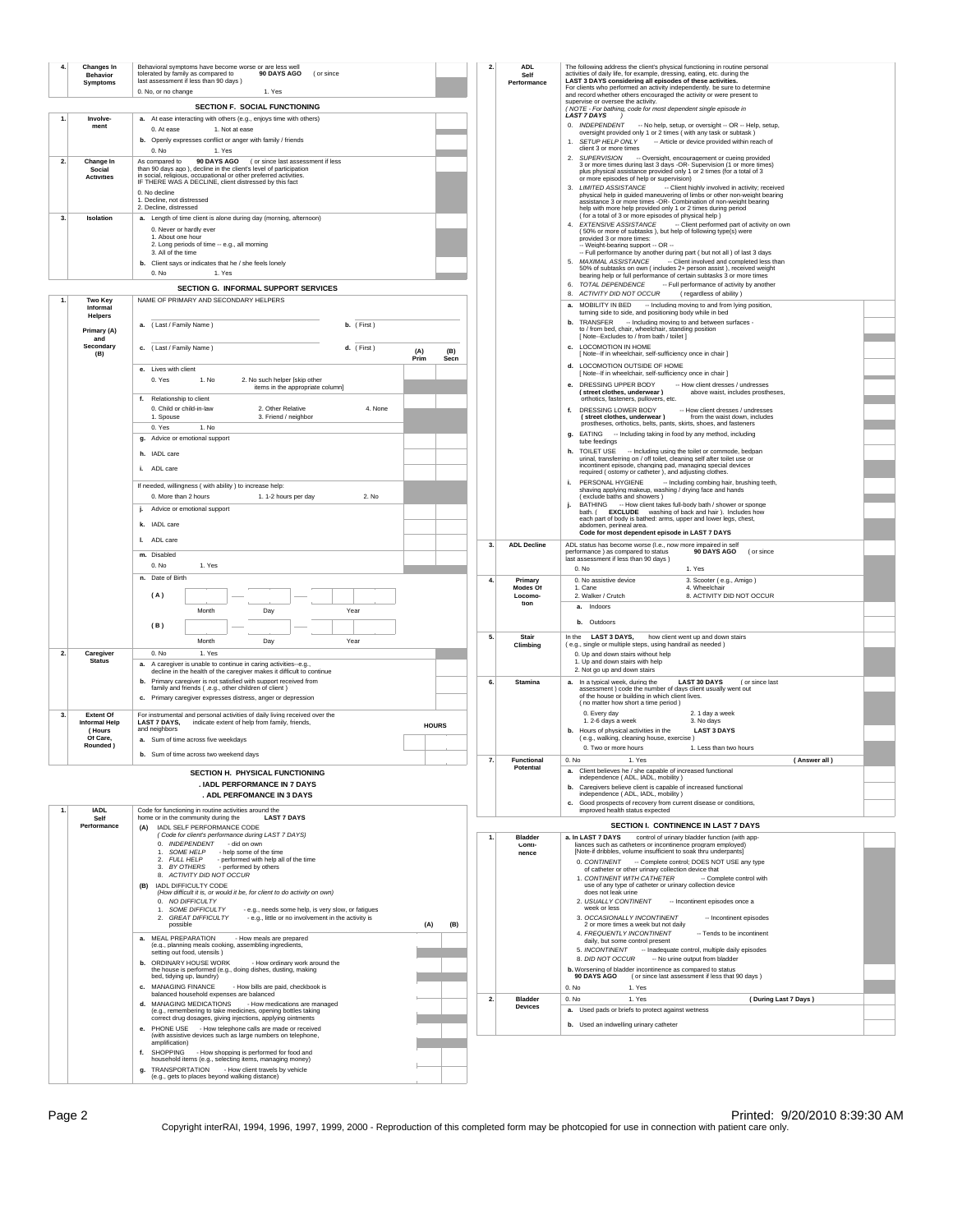|                                                                                                                                                                                                                                                                                                                        | Changes In<br><b>Behavior</b>                                         | Behavioral symptoms have become worse or are less well<br>90 DAYS AGO<br>tolerated by family as compared to<br>(or since                                           |             |             | $\overline{2}$ | ADL.<br>Self                                                                                                                                                                                                  | The following address the client's physical functioning in routine personal<br>activities of daily life, for example, dressing, eating, etc. during the                                                           |  |  |
|------------------------------------------------------------------------------------------------------------------------------------------------------------------------------------------------------------------------------------------------------------------------------------------------------------------------|-----------------------------------------------------------------------|--------------------------------------------------------------------------------------------------------------------------------------------------------------------|-------------|-------------|----------------|---------------------------------------------------------------------------------------------------------------------------------------------------------------------------------------------------------------|-------------------------------------------------------------------------------------------------------------------------------------------------------------------------------------------------------------------|--|--|
|                                                                                                                                                                                                                                                                                                                        | <b>Symptoms</b>                                                       | last assessment if less than 90 days )<br>0. No, or no change<br>1. Yes                                                                                            |             |             |                | Performance                                                                                                                                                                                                   | LAST 3 DAYS considering all episodes of these activities.<br>For clients who performed an activity independently, be sure to determine<br>and record whether others encouraged the activity or were present to    |  |  |
|                                                                                                                                                                                                                                                                                                                        |                                                                       | SECTION F. SOCIAL FUNCTIONING                                                                                                                                      |             |             |                |                                                                                                                                                                                                               | supervise or oversee the activity.<br>(NOTE - For bathing, code for most dependent single episode in                                                                                                              |  |  |
|                                                                                                                                                                                                                                                                                                                        | Involve-<br>ment                                                      | a. At ease interacting with others (e.g., enjoys time with others)                                                                                                 |             |             |                |                                                                                                                                                                                                               | LAST 7 DAYS )<br>0. INDEPENDENT -- No help, setup, or oversight -- OR -- Help, setup,                                                                                                                             |  |  |
|                                                                                                                                                                                                                                                                                                                        |                                                                       | 1. Not at ease<br>0. At ease<br>b. Openly expresses conflict or anger with family / friends                                                                        |             |             |                |                                                                                                                                                                                                               | oversight provided only 1 or 2 times ( with any task or subtask )<br>1. SETUP HELP ONLY<br>-- Article or device provided within reach of                                                                          |  |  |
|                                                                                                                                                                                                                                                                                                                        |                                                                       | 0. No<br>1. Yes                                                                                                                                                    |             |             |                |                                                                                                                                                                                                               | client 3 or more times<br>2. SUPERVISION -- Oversight, encouragement or cueing provided                                                                                                                           |  |  |
| 2.<br>Change In<br>90 DAYS AGO (or since last assessment if less<br>As compared to<br>than 90 days ago ), decline in the client's level of participation<br>Social<br>in social, religious, occupational or other preferred activities.<br><b>Activities</b><br>IF THERE WAS A DECLINE, client distressed by this fact |                                                                       |                                                                                                                                                                    |             |             |                |                                                                                                                                                                                                               | 3 or more times during last 3 days -OR- Supervision (1 or more times)<br>plus physical assistance provided only 1 or 2 times (for a total of 3                                                                    |  |  |
|                                                                                                                                                                                                                                                                                                                        |                                                                       |                                                                                                                                                                    |             |             |                |                                                                                                                                                                                                               | or more episodes of help or supervision)<br>3. LIMITED ASSISTANCE<br>-- Client highly involved in activity; received                                                                                              |  |  |
|                                                                                                                                                                                                                                                                                                                        | 0. No decline<br>1. Decline, not distressed<br>2. Decline, distressed |                                                                                                                                                                    |             |             |                | physical help in guided maneuvering of limbs or other non-weight bearing<br>assistance 3 or more times -OR- Combination of non-weight bearing<br>help with more help provided only 1 or 2 times during period |                                                                                                                                                                                                                   |  |  |
| 3.<br>Isolation                                                                                                                                                                                                                                                                                                        |                                                                       | a. Length of time client is alone during day (morning, afternoon)                                                                                                  |             |             |                |                                                                                                                                                                                                               | (for a total of 3 or more episodes of physical help)<br>4. EXTENSIVE ASSISTANCE<br>-- Client performed part of activity on own                                                                                    |  |  |
|                                                                                                                                                                                                                                                                                                                        |                                                                       | 0. Never or hardly ever<br>1. About one hour                                                                                                                       |             |             |                |                                                                                                                                                                                                               | (50% or more of subtasks), but help of following type(s) were<br>provided 3 or more times:                                                                                                                        |  |  |
|                                                                                                                                                                                                                                                                                                                        |                                                                       | 2. Long periods of time -- e.g., all moming<br>3. All of the time                                                                                                  |             |             |                |                                                                                                                                                                                                               | -- Weight-bearing support -- OR --<br>-- Full performance by another during part ( but not all ) of last 3 days                                                                                                   |  |  |
|                                                                                                                                                                                                                                                                                                                        |                                                                       | b. Client says or indicates that he / she feels lonely<br>0. No<br>1. Yes                                                                                          |             |             |                |                                                                                                                                                                                                               | MAXIMAL ASSISTANCE<br>-- Client involved and completed less than<br>50% of subtasks on own ( includes 2+ person assist ), received weight<br>bearing help or full performance of certain subtasks 3 or more times |  |  |
|                                                                                                                                                                                                                                                                                                                        |                                                                       | SECTION G. INFORMAL SUPPORT SERVICES                                                                                                                               |             |             |                |                                                                                                                                                                                                               | TOTAL DEPENDENCE<br>-- Full performance of activity by another                                                                                                                                                    |  |  |
|                                                                                                                                                                                                                                                                                                                        | <b>Two Kev</b><br>Informal                                            | NAME OF PRIMARY AND SECONDARY HELPERS                                                                                                                              |             |             |                |                                                                                                                                                                                                               | 8. ACTIVITY DID NOT OCCUR<br>(regardless of ability)<br>a. MOBILITY IN BED - Including moving to and from lying position,                                                                                         |  |  |
|                                                                                                                                                                                                                                                                                                                        | Helpers                                                               | a. (Last / Family Name)<br>b. (First)                                                                                                                              |             |             |                |                                                                                                                                                                                                               | turning side to side, and positioning body while in bed<br>TRANSFER - Including moving to and between surfaces -                                                                                                  |  |  |
|                                                                                                                                                                                                                                                                                                                        | Primary (A)<br>and                                                    |                                                                                                                                                                    |             |             |                |                                                                                                                                                                                                               | to / from bed, chair, wheelchair, standing position<br>[ Note--Excludes to / from bath / toilet ]                                                                                                                 |  |  |
|                                                                                                                                                                                                                                                                                                                        | Secondary<br>(B)                                                      | c. (Last / Family Name)<br>d. (First)                                                                                                                              | (A)<br>Prim | (B)<br>Secn |                |                                                                                                                                                                                                               | c. LOCOMOTION IN HOME<br>[ Note--If in wheelchair, self-sufficiency once in chair ]                                                                                                                               |  |  |
|                                                                                                                                                                                                                                                                                                                        |                                                                       | e. Lives with client                                                                                                                                               |             |             |                |                                                                                                                                                                                                               | d. LOCOMOTION OUTSIDE OF HOME<br>I Note--If in wheelchair, self-sufficiency once in chair I                                                                                                                       |  |  |
|                                                                                                                                                                                                                                                                                                                        |                                                                       | 0. Yes<br>1. No<br>2. No such helper [skip other<br>items in the appropriate column]                                                                               |             |             |                |                                                                                                                                                                                                               | e. DRESSING UPPER BODY<br>-- How client dresses / undresses<br>(street clothes, underwear)<br>above waist, includes prostheses.                                                                                   |  |  |
|                                                                                                                                                                                                                                                                                                                        |                                                                       | f. Relationship to client<br>0. Child or child-in-law<br>2. Other Relative<br>4. None                                                                              |             |             |                |                                                                                                                                                                                                               | orthotics, fasteners, pullovers, etc.                                                                                                                                                                             |  |  |
|                                                                                                                                                                                                                                                                                                                        |                                                                       | 3. Friend / neighbor<br>1. Spouse                                                                                                                                  |             |             |                |                                                                                                                                                                                                               | f. DRESSING LOWER BODY<br>-- How client dresses / undresses<br>(street clothes, underwear)<br>from the waist down, includes<br>prostheses, orthotics, belts, pants, skirts, shoes, and fasteners                  |  |  |
|                                                                                                                                                                                                                                                                                                                        |                                                                       | 0. Yes<br>1. No<br>g. Advice or emotional support                                                                                                                  |             |             |                |                                                                                                                                                                                                               | g. EATING - Including taking in food by any method, including<br>tube feedings                                                                                                                                    |  |  |
|                                                                                                                                                                                                                                                                                                                        |                                                                       | h. IADL care                                                                                                                                                       |             |             |                |                                                                                                                                                                                                               | h. TOILET USE -- Including using the toilet or commode, bedpan<br>urinal, transferring on / off toilet, cleaning self after toilet use or                                                                         |  |  |
|                                                                                                                                                                                                                                                                                                                        |                                                                       | i. ADL care                                                                                                                                                        |             |             |                |                                                                                                                                                                                                               | incontinent episode, changing pad, managing special devices<br>required (ostomy or catheter), and adjusting clothes.                                                                                              |  |  |
|                                                                                                                                                                                                                                                                                                                        |                                                                       | If needed, willingness ( with ability ) to increase help:                                                                                                          |             |             |                |                                                                                                                                                                                                               | PERSONAL HYGIENE<br>- Including combing hair, brushing teeth,<br>shaving applying makeup, washing / drying face and hands                                                                                         |  |  |
|                                                                                                                                                                                                                                                                                                                        |                                                                       | 0. More than 2 hours<br>1. 1-2 hours per day<br>2. N <sub>0</sub><br>j. Advice or emotional support                                                                |             |             |                |                                                                                                                                                                                                               | (exclude baths and showers)<br><b>BATHING</b><br>-- How client takes full-body bath / shower or sponge<br>ŀ                                                                                                       |  |  |
|                                                                                                                                                                                                                                                                                                                        |                                                                       | k. IADL care                                                                                                                                                       |             |             |                |                                                                                                                                                                                                               | <b>EXCLUDE</b> washing of back and hair). Includes how<br>bath. (<br>each part of body is bathed: arms, upper and lower legs, chest,<br>abdomen, perineal area.                                                   |  |  |
|                                                                                                                                                                                                                                                                                                                        |                                                                       | I. ADL care                                                                                                                                                        |             |             |                |                                                                                                                                                                                                               | Code for most dependent episode in LAST 7 DAYS                                                                                                                                                                    |  |  |
|                                                                                                                                                                                                                                                                                                                        |                                                                       | m. Disabled                                                                                                                                                        |             |             | 3.             | <b>ADL Decline</b>                                                                                                                                                                                            | ADL status has become worse (I.e., now more impaired in self<br>performance) as compared to status<br>90 DAYS AGO<br>(or since<br>last assessment if less than 90 days )                                          |  |  |
|                                                                                                                                                                                                                                                                                                                        |                                                                       | 0. No<br>1. Yes                                                                                                                                                    |             |             |                |                                                                                                                                                                                                               | 0. No<br>1. Yes                                                                                                                                                                                                   |  |  |
|                                                                                                                                                                                                                                                                                                                        |                                                                       | n. Date of Birth                                                                                                                                                   |             |             | 4.             | Primary<br>Modes Of                                                                                                                                                                                           | 0. No assistive device<br>3. Scooter (e.g., Amigo)<br>4. Wheelchair<br>1. Cane                                                                                                                                    |  |  |
|                                                                                                                                                                                                                                                                                                                        |                                                                       | (A)                                                                                                                                                                |             |             |                | Locomo-<br>tion                                                                                                                                                                                               | 2. Walker / Crutch<br>8. ACTIVITY DID NOT OCCUR<br>a. Indoors                                                                                                                                                     |  |  |
|                                                                                                                                                                                                                                                                                                                        |                                                                       | Month<br>Day<br>Year<br>(B)                                                                                                                                        |             |             |                |                                                                                                                                                                                                               | b. Outdoors                                                                                                                                                                                                       |  |  |
|                                                                                                                                                                                                                                                                                                                        |                                                                       | Year<br>Month<br>Day                                                                                                                                               |             |             | 5.             | Stair                                                                                                                                                                                                         | In the LAST 3 DAYS, how client went up and down stairs                                                                                                                                                            |  |  |
| $\overline{2}$                                                                                                                                                                                                                                                                                                         | Caregiver<br><b>Status</b>                                            | 0. No<br>1. Yes                                                                                                                                                    |             |             |                | Climbing                                                                                                                                                                                                      | (e.g., single or multiple steps, using handrail as needed )<br>0. Up and down stairs without help<br>1. Up and down stairs with help                                                                              |  |  |
|                                                                                                                                                                                                                                                                                                                        |                                                                       | a. A caregiver is unable to continue in caring activities--e.g.,<br>decline in the health of the caregiver makes it difficult to continue                          |             |             |                |                                                                                                                                                                                                               | 2. Not go up and down stairs                                                                                                                                                                                      |  |  |
|                                                                                                                                                                                                                                                                                                                        |                                                                       | Primary caregiver is not satisfied with support received from<br>family and friends ( .e.g., other children of client )<br>b.                                      |             |             | 6.             | Stamina                                                                                                                                                                                                       | a. In a typical week, during the<br><b>LAST 30 DAYS</b><br>(or since last<br>assessment ) code the number of days client usually went out                                                                         |  |  |
|                                                                                                                                                                                                                                                                                                                        |                                                                       | c. Primary caregiver expresses distress, anger or depression                                                                                                       |             |             |                |                                                                                                                                                                                                               | of the house or building in which client lives.<br>( no matter how short a time period )                                                                                                                          |  |  |
| 3.                                                                                                                                                                                                                                                                                                                     | <b>Extent Of</b><br><b>Informal Help</b>                              | For instrumental and personal activities of daily living received over the<br><b>LAST 7 DAYS.</b><br>indicate extent of help from family, friends,<br><b>HOURS</b> |             |             |                |                                                                                                                                                                                                               | 0. Every day<br>2. 1 day a week<br>1.2-6 days a week<br>3. No days                                                                                                                                                |  |  |
|                                                                                                                                                                                                                                                                                                                        | (Hours<br>Of Care,                                                    | and neighbors<br>a. Sum of time across five weekdays                                                                                                               |             |             |                |                                                                                                                                                                                                               | b. Hours of physical activities in the<br><b>LAST 3 DAYS</b><br>(e.g., walking, cleaning house, exercise)                                                                                                         |  |  |
|                                                                                                                                                                                                                                                                                                                        | Rounded)                                                              | Sum of time across two weekend days                                                                                                                                |             |             | 7.             | <b>Functional</b>                                                                                                                                                                                             | 0. Two or more hours<br>1. Less than two hours<br>0. No<br>1. Yes<br>(Answer all)                                                                                                                                 |  |  |
|                                                                                                                                                                                                                                                                                                                        |                                                                       | SECTION H. PHYSICAL FUNCTIONING                                                                                                                                    |             |             |                | Potential                                                                                                                                                                                                     | a. Client believes he / she capable of increased functional<br>independence ( ADL, IADL, mobility )                                                                                                               |  |  |
|                                                                                                                                                                                                                                                                                                                        |                                                                       | . IADL PERFORMANCE IN 7 DAYS<br>. ADL PERFOMANCE IN 3 DAYS                                                                                                         |             |             |                |                                                                                                                                                                                                               | b. Caregivers believe client is capable of increased functional<br>independence ( ADL, IADL, mobility )                                                                                                           |  |  |
|                                                                                                                                                                                                                                                                                                                        | <b>IADL</b>                                                           | Code for functioning in routine activities around the                                                                                                              |             |             |                |                                                                                                                                                                                                               | c. Good prospects of recovery from current disease or conditions,<br>improved health status expected                                                                                                              |  |  |
|                                                                                                                                                                                                                                                                                                                        | Self<br>Performance                                                   | home or in the community during the<br><b>LAST 7 DAYS</b><br>(A) IADL SELF PERFORMANCE CODE                                                                        |             |             |                |                                                                                                                                                                                                               | SECTION I. CONTINENCE IN LAST 7 DAYS                                                                                                                                                                              |  |  |
|                                                                                                                                                                                                                                                                                                                        |                                                                       | (Code for client's performance during LAST 7 DAYS)<br>0. INDEPENDENT - did on own                                                                                  |             |             |                | <b>Bladder</b>                                                                                                                                                                                                | a. In LAST 7 DAYS<br>control of urinary bladder function (with app-                                                                                                                                               |  |  |
|                                                                                                                                                                                                                                                                                                                        |                                                                       | 1. SOME HELP - help some of the time                                                                                                                               |             |             |                | Conti-<br>nence                                                                                                                                                                                               | liances such as catheters or incontinence program employed)<br>[Note-if dribbles, volume insufficient to soak thru underpants]                                                                                    |  |  |
|                                                                                                                                                                                                                                                                                                                        |                                                                       | 2. FULL HELP - performed with help all of the time<br>3. BY OTHERS - performed by others<br>8. ACTIVITY DID NOT OCCUR                                              |             |             |                |                                                                                                                                                                                                               | 0. CONTINENT - Complete control; DOES NOT USE any type<br>of catheter or other urinary collection device that                                                                                                     |  |  |
|                                                                                                                                                                                                                                                                                                                        |                                                                       | (B) IADL DIFFICULTY CODE<br>(How difficult it is, or would it be, for client to do activity on own)                                                                |             |             |                |                                                                                                                                                                                                               | 1. CONTINENT WITH CATHETER - Complete control with<br>use of any type of catheter or urinary collection device<br>does not leak urine                                                                             |  |  |
|                                                                                                                                                                                                                                                                                                                        |                                                                       | 0. NO DIFFICULTY<br>1. SOME DIFFICULTY<br>- e.g., needs some help, is very slow, or fatigues                                                                       |             |             |                |                                                                                                                                                                                                               | 2. USUALLY CONTINENT - Incontinent episodes once a<br>week or less                                                                                                                                                |  |  |
|                                                                                                                                                                                                                                                                                                                        |                                                                       | 2. GREAT DIFFICULTY - e.g., little or no involvement in the activity is<br>possible                                                                                | (A)         | (B)         |                |                                                                                                                                                                                                               | 3. OCCASIONALLY INCONTINENT<br>-- Incontinent episodes<br>2 or more times a week but not daily                                                                                                                    |  |  |
|                                                                                                                                                                                                                                                                                                                        |                                                                       | a. MEAL PREPARATION<br>- How meals are prepared                                                                                                                    |             |             |                |                                                                                                                                                                                                               | 4. FREQUENTLY INCONTINENT<br>-- Tends to be incontinent<br>daily, but some control present                                                                                                                        |  |  |
|                                                                                                                                                                                                                                                                                                                        |                                                                       | (e.g., planning meals cooking, assembling ingredients,<br>setting out food, utensils)                                                                              |             |             |                |                                                                                                                                                                                                               | 5. INCONTINENT - Inadequate control, multiple daily episodes<br>8. DID NOT OCCUR - No urine output from bladder                                                                                                   |  |  |
|                                                                                                                                                                                                                                                                                                                        |                                                                       | <b>b.</b> ORDINARY HOUSE WORK<br>- How ordinary work around the<br>the house is performed (e.g., doing dishes, dusting, making<br>bed, tidying up, laundry)        |             |             |                |                                                                                                                                                                                                               | b. Worsening of bladder incontinence as compared to status<br>90 DAYS AGO (or since last assessment if less that 90 days)                                                                                         |  |  |
|                                                                                                                                                                                                                                                                                                                        |                                                                       | c. MANAGING FINANCE<br>- How bills are paid, checkbook is                                                                                                          |             |             |                |                                                                                                                                                                                                               | 0. No<br>1. Yes                                                                                                                                                                                                   |  |  |
|                                                                                                                                                                                                                                                                                                                        |                                                                       | balanced household expenses are balanced<br>d. MANAGING MEDICATIONS - How medications are managed                                                                  |             |             | 2.             | Bladder<br>Devices                                                                                                                                                                                            | 1. Yes<br>(During Last 7 Days)<br>0. No<br>a. Used pads or briefs to protect against wetness                                                                                                                      |  |  |
|                                                                                                                                                                                                                                                                                                                        |                                                                       | (e.g., remembering to take medicines, opening bottles taking<br>correct drug dosages, giving injections, applying ointments                                        |             |             |                |                                                                                                                                                                                                               | b. Used an indwelling urinary catheter                                                                                                                                                                            |  |  |
|                                                                                                                                                                                                                                                                                                                        |                                                                       | e. PHONE USE - How telephone calls are made or received<br>(with assistive devices such as large numbers on telephone,<br>amplification)                           |             |             |                |                                                                                                                                                                                                               |                                                                                                                                                                                                                   |  |  |
|                                                                                                                                                                                                                                                                                                                        |                                                                       | SHOPPING - How shopping is performed for food and<br>household items (e.g., selecting items, managing money)                                                       |             |             |                |                                                                                                                                                                                                               |                                                                                                                                                                                                                   |  |  |
|                                                                                                                                                                                                                                                                                                                        |                                                                       | TRANSPORTATION - How client travels by vehicle<br>g.<br>(e.g., gets to places beyond walking distance)                                                             |             |             |                |                                                                                                                                                                                                               |                                                                                                                                                                                                                   |  |  |
|                                                                                                                                                                                                                                                                                                                        |                                                                       |                                                                                                                                                                    |             |             |                |                                                                                                                                                                                                               |                                                                                                                                                                                                                   |  |  |

Page 2 Printed: 9/20/2010 8:39:30 AM<br>Copyright interRAI, 1994, 1996, 1997, 1999, 2000 - Reproduction of this completed form may be photcopied for use in connection with patient care only.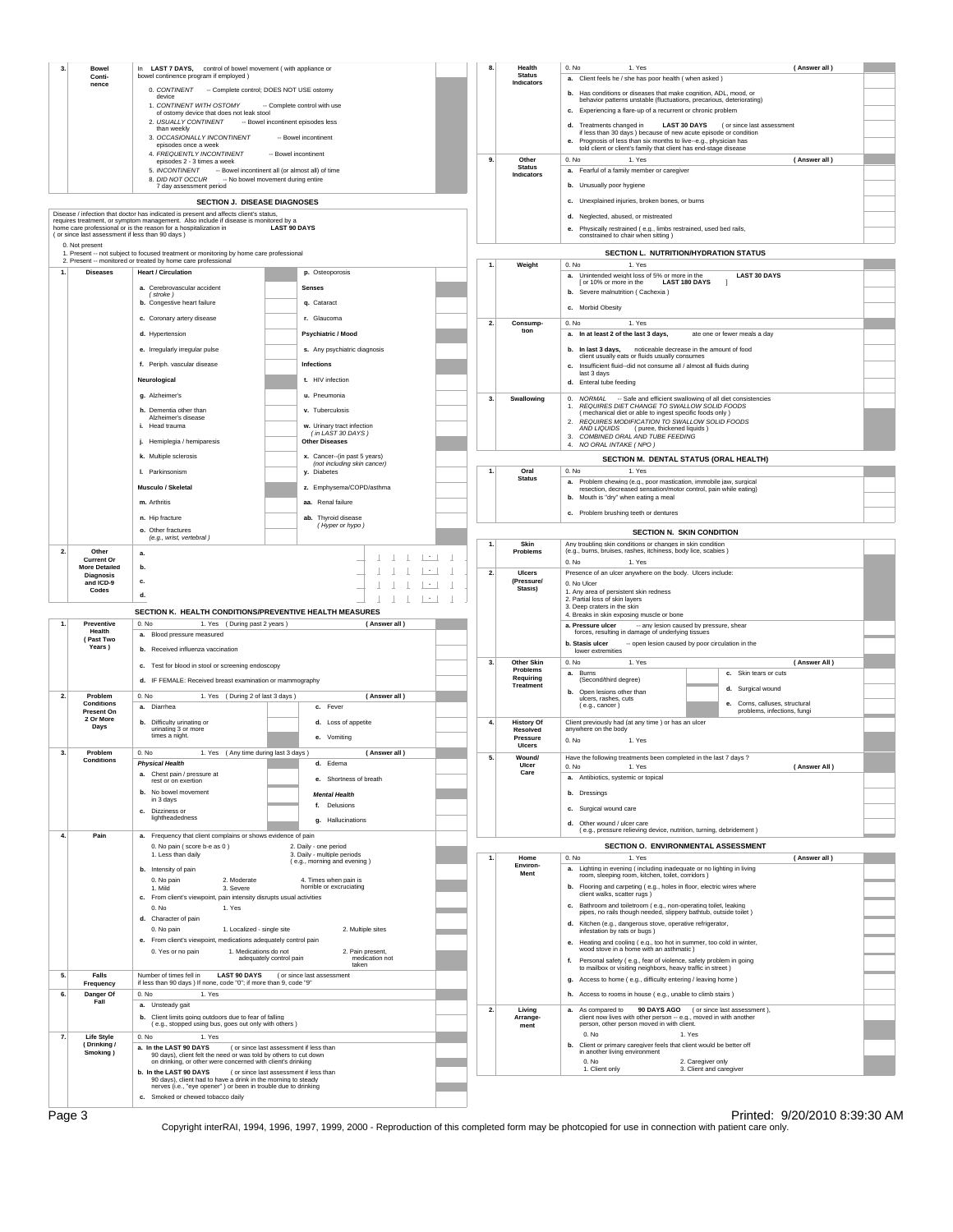| 3.<br><b>Bowel</b>                                                 | In LAST 7 DAYS, control of bowel movement ( with appliance or                                                                                            |                                                                                        |                             | Health                                    | 0. No<br>1. Yes<br>(Answer all)                                                                                                       |  |  |
|--------------------------------------------------------------------|----------------------------------------------------------------------------------------------------------------------------------------------------------|----------------------------------------------------------------------------------------|-----------------------------|-------------------------------------------|---------------------------------------------------------------------------------------------------------------------------------------|--|--|
| Conti-                                                             | bowel continence program if employed )                                                                                                                   |                                                                                        |                             | <b>Status</b><br>Indicators               | a. Client feels he / she has poor health (when asked)                                                                                 |  |  |
| nence                                                              | 0. CONTINENT - Complete control; DOES NOT USE ostomy                                                                                                     |                                                                                        |                             |                                           | b. Has conditions or diseases that make cognition, ADL, mood, or                                                                      |  |  |
|                                                                    | device                                                                                                                                                   |                                                                                        |                             |                                           | behavior patterns unstable (fluctuations, precarious, deteriorating)                                                                  |  |  |
|                                                                    | 1. CONTINENT WITH OSTOMY<br>of ostomy device that does not leak stool                                                                                    | -- Complete control with use                                                           |                             |                                           | c. Experiencing a flare-up of a recurrent or chronic problem                                                                          |  |  |
| 2. USUALLY CONTINENT<br>-- Bowel incontinent episodes less         |                                                                                                                                                          |                                                                                        |                             |                                           | d. Treatments changed in<br>LAST 30 DAYS (or since last assessment                                                                    |  |  |
| than weekly<br>3. OCCASIONALLY INCONTINENT<br>-- Bowel incontinent |                                                                                                                                                          |                                                                                        |                             |                                           | if less than 30 days ) because of new acute episode or condition                                                                      |  |  |
|                                                                    | enisodes once a week                                                                                                                                     |                                                                                        |                             |                                           | e. Prognosis of less than six months to live--e.g., physician has<br>told client or client's family that client has end-stage disease |  |  |
|                                                                    | 4. FREQUENTLY INCONTINENT<br>episodes 2 - 3 times a week                                                                                                 | -- Bowel incontinent                                                                   | 9.                          | Other                                     | 1. Yes<br>(Answer all)<br>0. No                                                                                                       |  |  |
| 5. INCONTINENT - Bowel incontinent all (or almost all) of time     |                                                                                                                                                          |                                                                                        |                             | <b>Status</b>                             | a. Fearful of a family member or caregiver                                                                                            |  |  |
|                                                                    | 8. DID NOT OCCUR                                                                                                                                         | -- No bowel movement during entire                                                     |                             | Indicators                                |                                                                                                                                       |  |  |
|                                                                    | 7 day assessment period                                                                                                                                  |                                                                                        |                             |                                           | b. Unusually poor hygiene                                                                                                             |  |  |
|                                                                    |                                                                                                                                                          | SECTION J. DISEASE DIAGNOSES                                                           |                             |                                           | c. Unexplained injuries, broken bones, or burns                                                                                       |  |  |
|                                                                    | Disease / infection that doctor has indicated is present and affects client's status.                                                                    |                                                                                        |                             |                                           | Neglected, abused, or mistreated<br>d.                                                                                                |  |  |
|                                                                    | requires treatment, or symptom management. Also include if disease is monitored by a<br>home care professional or is the reason for a hospitalization in | <b>LAST 90 DAYS</b>                                                                    |                             |                                           | e. Physically restrained (e.g., limbs restrained, used bed rails,                                                                     |  |  |
| (or since last assessment if less than 90 days)                    |                                                                                                                                                          |                                                                                        |                             |                                           | constrained to chair when sitting )                                                                                                   |  |  |
| 0. Not present                                                     |                                                                                                                                                          |                                                                                        |                             |                                           | SECTION L. NUTRITION/HYDRATION STATUS                                                                                                 |  |  |
|                                                                    | 1. Present -- not subject to focused treatment or monitoring by home care professional<br>2. Present -- monitored or treated by home care professional   |                                                                                        |                             |                                           |                                                                                                                                       |  |  |
| 1.<br><b>Diseases</b>                                              | <b>Heart / Circulation</b>                                                                                                                               | p. Osteoporosis                                                                        | 1.                          | Weight                                    | 0. No<br>1. Yes<br>a. Unintended weight loss of 5% or more in the<br><b>LAST 30 DAYS</b>                                              |  |  |
|                                                                    |                                                                                                                                                          |                                                                                        |                             |                                           | [ or 10% or more in the<br><b>LAST 180 DAYS</b>                                                                                       |  |  |
|                                                                    | a. Cerebrovascular accident<br>(stroke)                                                                                                                  | <b>Senses</b>                                                                          |                             |                                           | b. Severe malnutrition (Cachexia)                                                                                                     |  |  |
|                                                                    | b. Congestive heart failure                                                                                                                              | q. Cataract                                                                            |                             |                                           | c. Morbid Obesity                                                                                                                     |  |  |
|                                                                    | c. Coronary artery disease                                                                                                                               | r. Glaucoma                                                                            |                             |                                           |                                                                                                                                       |  |  |
|                                                                    |                                                                                                                                                          |                                                                                        | 2.                          | Consump-<br>tion                          | 1. Yes<br>0. N <sub>0</sub>                                                                                                           |  |  |
|                                                                    | d. Hypertension                                                                                                                                          | <b>Psychiatric / Mood</b>                                                              |                             |                                           | a. In at least 2 of the last 3 days,<br>ate one or fewer meals a day                                                                  |  |  |
|                                                                    | e. Irregularly irregular pulse                                                                                                                           | s. Any psychiatric diagnosis                                                           |                             |                                           | b. In last 3 days, noticeable decrease in the amount of food                                                                          |  |  |
|                                                                    | f. Periph. vascular disease                                                                                                                              | Infections                                                                             |                             |                                           | client usually eats or fluids usually consumes                                                                                        |  |  |
|                                                                    |                                                                                                                                                          |                                                                                        |                             |                                           | c. Insufficient fluid--did not consume all / almost all fluids during<br>last 3 days                                                  |  |  |
|                                                                    | Neurological                                                                                                                                             | t. HIV infection                                                                       |                             |                                           | d. Enteral tube feeding                                                                                                               |  |  |
|                                                                    | g. Alzheimer's                                                                                                                                           | u. Pneumonia                                                                           | 3.                          | Swallowing                                | 0. NORMAL                                                                                                                             |  |  |
|                                                                    |                                                                                                                                                          |                                                                                        |                             |                                           | -- Safe and efficient swallowing of all diet consistencies<br>REQUIRES DIET CHANGE TO SWALLOW SOLID FOODS<br>1.                       |  |  |
|                                                                    | h. Dementia other than<br>Alzheimer's disease                                                                                                            | v. Tuberculosis                                                                        |                             |                                           | ( mechanical diet or able to ingest specific foods only )                                                                             |  |  |
|                                                                    | i. Head trauma                                                                                                                                           | w. Urinary tract infection                                                             |                             |                                           | REQUIRES MODIFICATION TO SWALLOW SOLID FOODS<br>AND LIQUIDS (puree, thickened liquids)                                                |  |  |
|                                                                    | j. Hemiplegia / hemiparesis                                                                                                                              | (in LAST 30 DAYS)<br><b>Other Diseases</b>                                             |                             |                                           | COMBINED ORAL AND TUBE FEEDING<br>3.                                                                                                  |  |  |
|                                                                    |                                                                                                                                                          |                                                                                        |                             |                                           | 4. NO ORAL INTAKE (NPO)                                                                                                               |  |  |
|                                                                    | k. Multiple sclerosis                                                                                                                                    | x. Cancer--(in past 5 years)<br>(not including skin cancer)                            |                             |                                           | SECTION M. DENTAL STATUS (ORAL HEALTH)                                                                                                |  |  |
|                                                                    | I. Parkinsonism                                                                                                                                          | y. Diabetes                                                                            | 1.                          | Oral                                      | 0. No<br>1. Yes                                                                                                                       |  |  |
|                                                                    |                                                                                                                                                          | z. Emphysema/COPD/asthma                                                               |                             | <b>Status</b>                             | a. Problem chewing (e.g., poor mastication, immobile jaw, surgical                                                                    |  |  |
|                                                                    | Musculo / Skeletal                                                                                                                                       |                                                                                        |                             |                                           | resection, decreased sensation/motor control, pain while eating)<br>b. Mouth is "dry" when eating a meal                              |  |  |
|                                                                    | m. Arthritis                                                                                                                                             | aa. Renal failure                                                                      |                             |                                           |                                                                                                                                       |  |  |
|                                                                    | n. Hip fracture                                                                                                                                          | ab. Thyroid disease                                                                    |                             |                                           | c. Problem brushing teeth or dentures                                                                                                 |  |  |
|                                                                    | o. Other fractures                                                                                                                                       | (Hyper or hypo)                                                                        |                             |                                           | SECTION N. SKIN CONDITION                                                                                                             |  |  |
|                                                                    | (e.g., wrist, vertebral)                                                                                                                                 |                                                                                        | 1.                          | Skin                                      | Any troubling skin conditions or changes in skin condition                                                                            |  |  |
| 2.<br>Other                                                        | a.                                                                                                                                                       |                                                                                        |                             | <b>Problems</b>                           | (e.g., burns, bruises, rashes, itchiness, body lice, scabies)                                                                         |  |  |
| <b>Current Or</b>                                                  |                                                                                                                                                          |                                                                                        | $\vert \cdot \vert$ $\vert$ |                                           | 0. No<br>1. Yes                                                                                                                       |  |  |
| More Detailed<br>Diagnosis                                         | b.                                                                                                                                                       | $-1$ $-1$ $-1$ $-1$ $-1$                                                               | 2.                          | Ulcers                                    | Presence of an ulcer anywhere on the body. Ulcers include:                                                                            |  |  |
| and ICD-9                                                          | c.                                                                                                                                                       | $1 - 1 - 1 - 1 - 1$                                                                    |                             | (Pressure/<br>Stasis)                     | 0. No Ulcer                                                                                                                           |  |  |
| Codes                                                              | d.                                                                                                                                                       |                                                                                        |                             |                                           | 1. Any area of persistent skin redness                                                                                                |  |  |
|                                                                    |                                                                                                                                                          |                                                                                        |                             |                                           | 2. Partial loss of skin layers<br>3. Deep craters in the skin                                                                         |  |  |
| SECTION K. HEALTH CONDITIONS/PREVENTIVE HEALTH MEASURES            |                                                                                                                                                          |                                                                                        |                             | 4. Breaks in skin exposing muscle or bone |                                                                                                                                       |  |  |
|                                                                    |                                                                                                                                                          |                                                                                        |                             |                                           |                                                                                                                                       |  |  |
| Preventive<br>Health                                               | 0. No<br>1. Yes (During past 2 years)                                                                                                                    | (Answer all)                                                                           |                             |                                           | a. Pressure ulcer<br>-- any lesion caused by pressure, shear                                                                          |  |  |
| (Past Two                                                          | a. Blood pressure measured                                                                                                                               |                                                                                        |                             |                                           | forces, resulting in damage of underlying tissues                                                                                     |  |  |
| Years )                                                            | b. Received influenza vaccination                                                                                                                        |                                                                                        |                             |                                           | b. Stasis ulcer<br>-- open lesion caused by poor circulation in the<br>lower extremities                                              |  |  |
|                                                                    | c. Test for blood in stool or screening endoscopy                                                                                                        |                                                                                        | 3.                          | Other Skin                                | 0. No<br>1. Yes<br>(Answer All)                                                                                                       |  |  |
|                                                                    |                                                                                                                                                          |                                                                                        |                             | Problems<br>Requiring                     | a. Burns<br>c. Skin tears or cuts                                                                                                     |  |  |
|                                                                    | d. IF FEMALE: Received breast examination or mammography                                                                                                 |                                                                                        |                             | <b>Treatment</b>                          | (Second/third degree)<br>d. Surgical wound                                                                                            |  |  |
| 2.<br>Problem                                                      | 1. Yes (During 2 of last 3 days)<br>0. No                                                                                                                | (Answer all)                                                                           |                             |                                           | b. Open lesions other than<br>ulcers, rashes, cuts                                                                                    |  |  |
| <b>Conditions</b><br>Present On                                    | a. Diarrhea                                                                                                                                              | c. Fever                                                                               |                             |                                           | e. Corns, calluses, structural<br>(e.g., cancer)<br>problems, infections, fungi                                                       |  |  |
| 2 Or More                                                          | b. Difficulty urinating or                                                                                                                               | d. Loss of appetite                                                                    | 4.                          | <b>History Of</b>                         | Client previously had (at any time) or has an ulcer                                                                                   |  |  |
| Days                                                               | urinating 3 or more                                                                                                                                      |                                                                                        |                             | Resolved                                  | anvwhere on the body                                                                                                                  |  |  |
|                                                                    | times a night.                                                                                                                                           | e. Vomiting                                                                            |                             | Pressure<br><b>UIcers</b>                 | 0. No<br>1. Yes                                                                                                                       |  |  |
| 3.<br>Problem                                                      | 0. No<br>1. Yes (Any time during last 3 days)                                                                                                            | (Answer all)                                                                           | $\overline{a}$              | Wound                                     | Have the following treatments been completed in the last 7 days ?                                                                     |  |  |
| <b>Conditions</b>                                                  | <b>Physical Health</b>                                                                                                                                   | d. Edema                                                                               |                             | Ulcer                                     | (Answer All)<br>0. No<br>1. Yes                                                                                                       |  |  |
|                                                                    | a. Chest pain / pressure at<br>rest or on exertion                                                                                                       | e. Shortness of breath                                                                 |                             | Care                                      | a. Antibiotics, systemic or topical                                                                                                   |  |  |
|                                                                    |                                                                                                                                                          |                                                                                        |                             |                                           |                                                                                                                                       |  |  |
|                                                                    | b. No bowel movement<br>in 3 days                                                                                                                        | <b>Mental Health</b>                                                                   |                             |                                           | b. Dressings                                                                                                                          |  |  |
|                                                                    | c. Dizziness or                                                                                                                                          | f. Delusions                                                                           |                             |                                           | c. Surgical wound care                                                                                                                |  |  |
|                                                                    | lightheadedness                                                                                                                                          | g. Hallucinations                                                                      |                             |                                           | d. Other wound / ulcer care                                                                                                           |  |  |
| 4.<br>Pain                                                         | a. Frequency that client complains or shows evidence of pain                                                                                             |                                                                                        |                             |                                           | (e.g., pressure relieving device, nutrition, turning, debridement)                                                                    |  |  |
|                                                                    | 0. No pain (score b-e as 0)                                                                                                                              | 2. Daily - one period                                                                  |                             |                                           | SECTION O. ENVIRONMENTAL ASSESSMENT                                                                                                   |  |  |
|                                                                    | 1. Less than daily                                                                                                                                       | 3. Daily - multiple periods                                                            |                             | Home                                      | 0. No<br>1. Yes<br>(Answer all)                                                                                                       |  |  |
|                                                                    | b. Intensity of pain                                                                                                                                     | (e.g., morning and evening)                                                            |                             | Environ-                                  | a. Lighting in evening (including inadequate or no lighting in living                                                                 |  |  |
|                                                                    | 0. No pain<br>2. Moderate                                                                                                                                | 4. Times when pain is                                                                  |                             | Ment                                      | room, sleeping room, kitchen, toilet, corridors )                                                                                     |  |  |
|                                                                    | 1. Mild<br>3. Severe                                                                                                                                     | horrible or excruciating                                                               |                             |                                           | b. Flooring and carpeting (e.g., holes in floor, electric wires where                                                                 |  |  |
|                                                                    | c. From client's viewpoint, pain intensity disrupts usual activities                                                                                     |                                                                                        |                             |                                           | client walks, scatter rugs)                                                                                                           |  |  |
|                                                                    | 0. No<br>1. Yes                                                                                                                                          |                                                                                        |                             |                                           | c. Bathroom and toiletroom (e.g., non-operating toilet, leaking<br>pipes, no rails though needed, slippery bathtub, outside toilet)   |  |  |
|                                                                    | d. Character of pain                                                                                                                                     |                                                                                        |                             |                                           | d. Kitchen (e.g., dangerous stove, operative refrigerator,                                                                            |  |  |
|                                                                    | 0. No pain                                                                                                                                               | 2. Multiple sites<br>1. Localized - single site                                        |                             |                                           | infestation by rats or bugs)                                                                                                          |  |  |
|                                                                    | e. From client's viewpoint, medications adequately control pain                                                                                          |                                                                                        |                             |                                           | e. Heating and cooling (e.g., too hot in summer, too cold in winter,                                                                  |  |  |
|                                                                    | 0. Yes or no pain                                                                                                                                        | 1. Medications do not<br>2. Pain present,<br>adequately control pain<br>medication not |                             |                                           | wood stove in a home with an asthmatic)<br>f.                                                                                         |  |  |
|                                                                    |                                                                                                                                                          | taken                                                                                  |                             |                                           | Personal safety (e.g., fear of violence, safety problem in going<br>to mailbox or visiting neighbors, heavy traffic in street)        |  |  |
| 5.<br>Falls<br>Frequency                                           | Number of times fell in<br>if less than 90 days ) If none, code "0"; if more than 9, code "9"                                                            | LAST 90 DAYS (or since last assessment                                                 |                             |                                           | g. Access to home (e.g., difficulty entering / leaving home)                                                                          |  |  |
| Danger Of<br>6.                                                    | 0. No<br>1. Yes                                                                                                                                          |                                                                                        |                             |                                           | h. Access to rooms in house (e.g., unable to climb stairs)                                                                            |  |  |
| Fall                                                               | a. Unsteady gait                                                                                                                                         |                                                                                        |                             |                                           |                                                                                                                                       |  |  |
|                                                                    | b. Client limits going outdoors due to fear of falling                                                                                                   |                                                                                        | 2.                          | Living<br>Arrange-                        | a. As compared to 90 DAYS AGO (or since last assessment),<br>client now lives with other person -- e.g., moved in with another        |  |  |
|                                                                    | (e.g., stopped using bus, goes out only with others)                                                                                                     |                                                                                        |                             | ment                                      | person, other person moved in with client.                                                                                            |  |  |
| 7.<br><b>Life Style</b>                                            | 0. No<br>1. Yes                                                                                                                                          |                                                                                        |                             |                                           | 0. No<br>1. Yes                                                                                                                       |  |  |
| (Drinking/                                                         | a. In the LAST 90 DAYS                                                                                                                                   | (or since last assessment if less than                                                 |                             |                                           | b. Client or primary caregiver feels that client would be better off                                                                  |  |  |
| Smoking)                                                           | 90 days), client felt the need or was told by others to cut down<br>on drinking, or other were concerned with client's drinking                          |                                                                                        |                             |                                           | in another living environment<br>0. No<br>2. Caregiver only                                                                           |  |  |
|                                                                    | b. In the LAST 90 DAYS                                                                                                                                   | I or since last assessment if less than                                                |                             |                                           | 1. Client only<br>3. Client and caregiver                                                                                             |  |  |
|                                                                    | 90 days), client had to have a drink in the morning to steady                                                                                            |                                                                                        |                             |                                           |                                                                                                                                       |  |  |
|                                                                    | nerves (i.e., "eye opener") or been in trouble due to drinking<br>c. Smoked or chewed tobacco daily                                                      |                                                                                        |                             |                                           |                                                                                                                                       |  |  |

Page 3 Printed: 9/20/2010 8:39:30 AM<br>Copyright interRAI, 1994, 1996, 1997, 1999, 2000 - Reproduction of this completed form may be photcopied for use in connection with patient care only.